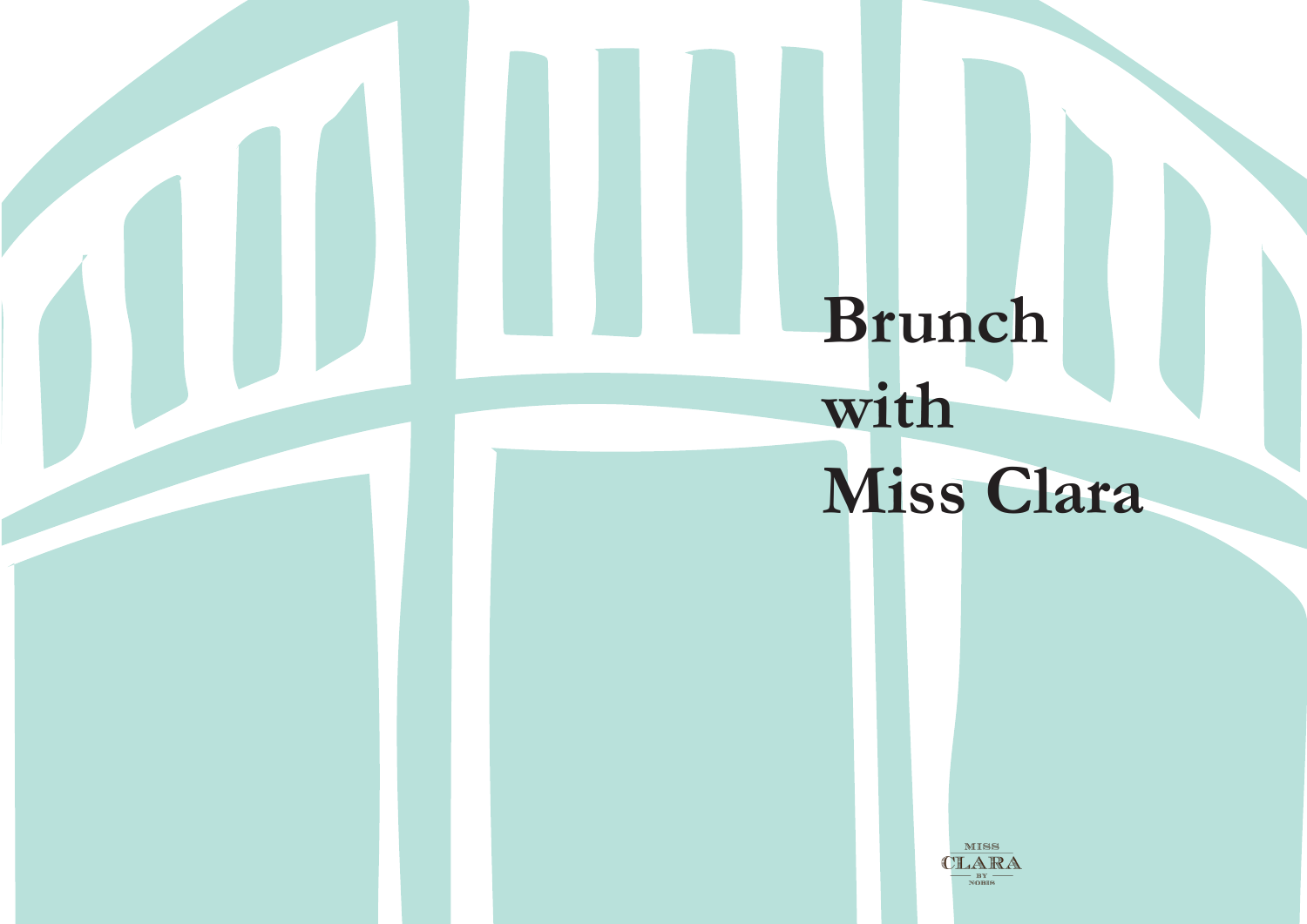